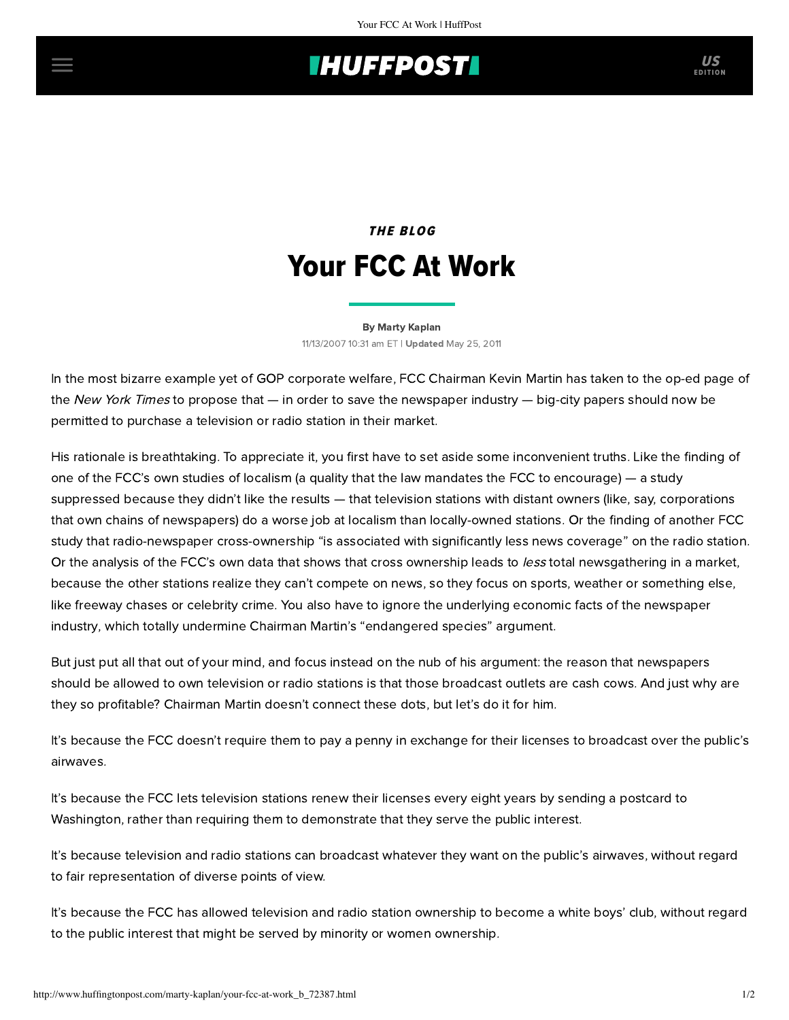# **THUFFPOST**

## THE BLOG Your FCC At Work

#### [By Marty Kaplan](http://www.huffingtonpost.com/author/marty-kaplan) 11/13/2007 10:31 am ET | Updated May 25, 2011

In the most bizarre example yet of GOP corporate welfare, FCC Chairman Kevin Martin has taken to the [op-ed](http://www.nytimes.com/2007/11/13/opinion/13martin.html?ref=opinion) page of the New York Times to propose that — in order to save the newspaper industry — big-city papers should now be permitted to purchase a television or radio station in their market.

His rationale is breathtaking. To appreciate it, you first have to set aside some inconvenient truths. Like the finding of one of the FCC's own [studies](http://fccweb01w.fcc.gov/prod/ecfs/retrieve.cgi?native_or_pdf=pdf&id_document=6518462392) of localism (a quality that the law mandates the FCC to encourage) — a study suppressed because they didn't like the results — that television stations with distant owners (like, say, corporations that own chains of newspapers) do a worse job at localism than locally-owned stations. Or the finding of another FCC [study that radio-newspaper cross-ownership "is associated with significantly less news coverage"](http://fjallfoss.fcc.gov/edocs_public/openAttachment.do?link=DA-07-3470A7.pdf) on the radio station. Or the [analysis](http://www.stopbigmedia.com/=compendium) of the FCC's own data that shows that cross ownership leads to *less* total newsgathering in a market, because the other stations realize they can't compete on news, so they focus on sports, weather or something else, like freeway chases or celebrity crime. You also have to ignore the underlying economic facts of the newspaper [industry, which totally undermine Chairman Martin's "endangered species" argument.](http://www.stateofthenewsmedia.org/2005/narrative_newspapers_economics.asp?cat=4&media=2)

But just put all that out of your mind, and focus instead on the nub of his argument: the reason that newspapers should be allowed to own television or radio stations is that those broadcast outlets are cash cows. And just why are they so profitable? Chairman Martin doesn't connect these dots, but let's do it for him.

It's because the FCC doesn't require them to pay a penny in exchange for their licenses to broadcast over the public's airwaves.

It's because the FCC lets television stations renew their licenses every eight years by sending a postcard to Washington, rather than requiring them to demonstrate that they serve the public interest.

It's because television and radio stations can broadcast whatever they want on the public's airwaves, without regard to fair representation of diverse points of view.

It's because the FCC has allowed [television](http://www.stopbigmedia.com/files/out_of_the_picture.pdf) and [radio](http://www.stopbigmedia.com/files/off_the_dial.pdf) station ownership to become a white boys' club, without regard to the public interest that might be served by minority or women ownership.